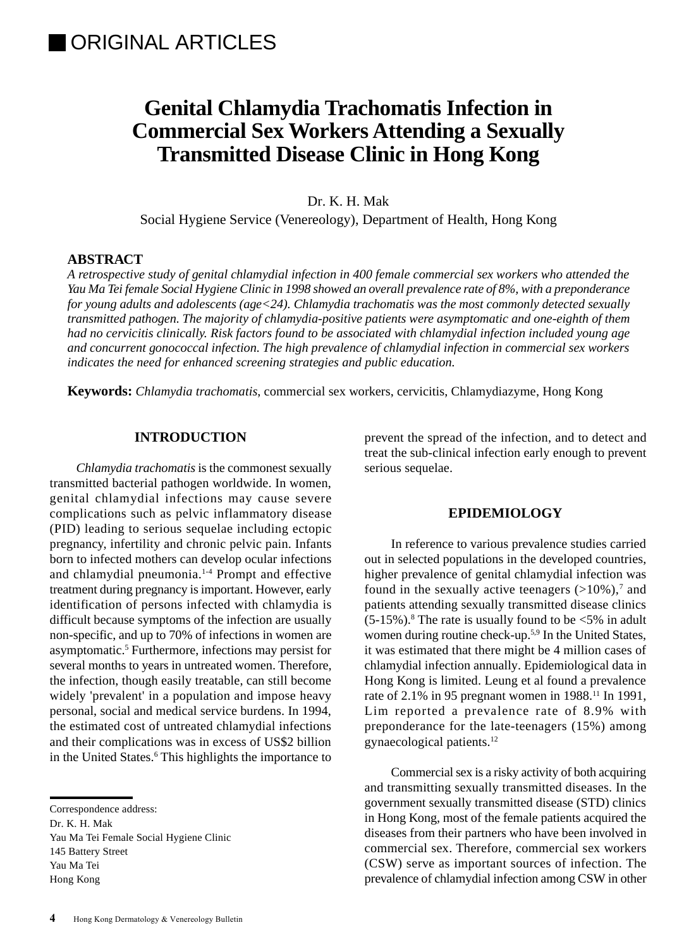# **Genital Chlamydia Trachomatis Infection in Commercial Sex Workers Attending a Sexually Transmitted Disease Clinic in Hong Kong**

Dr. K. H. Mak

Social Hygiene Service (Venereology), Department of Health, Hong Kong

# **ABSTRACT**

*A retrospective study of genital chlamydial infection in 400 female commercial sex workers who attended the Yau Ma Tei female Social Hygiene Clinic in 1998 showed an overall prevalence rate of 8%, with a preponderance for young adults and adolescents (age<24). Chlamydia trachomatis was the most commonly detected sexually transmitted pathogen. The majority of chlamydia-positive patients were asymptomatic and one-eighth of them had no cervicitis clinically. Risk factors found to be associated with chlamydial infection included young age and concurrent gonococcal infection. The high prevalence of chlamydial infection in commercial sex workers indicates the need for enhanced screening strategies and public education.*

**Keywords:** *Chlamydia trachomatis*, commercial sex workers, cervicitis, Chlamydiazyme, Hong Kong

# **INTRODUCTION**

*Chlamydia trachomatis* is the commonest sexually transmitted bacterial pathogen worldwide. In women, genital chlamydial infections may cause severe complications such as pelvic inflammatory disease (PID) leading to serious sequelae including ectopic pregnancy, infertility and chronic pelvic pain. Infants born to infected mothers can develop ocular infections and chlamydial pneumonia.1-4 Prompt and effective treatment during pregnancy is important. However, early identification of persons infected with chlamydia is difficult because symptoms of the infection are usually non-specific, and up to 70% of infections in women are asymptomatic.<sup>5</sup> Furthermore, infections may persist for several months to years in untreated women. Therefore, the infection, though easily treatable, can still become widely 'prevalent' in a population and impose heavy personal, social and medical service burdens. In 1994, the estimated cost of untreated chlamydial infections and their complications was in excess of US\$2 billion in the United States.<sup>6</sup> This highlights the importance to

Correspondence address:

Dr. K. H. Mak

Yau Ma Tei Female Social Hygiene Clinic 145 Battery Street Yau Ma Tei Hong Kong

prevent the spread of the infection, and to detect and treat the sub-clinical infection early enough to prevent serious sequelae.

# **EPIDEMIOLOGY**

In reference to various prevalence studies carried out in selected populations in the developed countries, higher prevalence of genital chlamydial infection was found in the sexually active teenagers  $(>10\%)$ ,<sup>7</sup> and patients attending sexually transmitted disease clinics  $(5-15\%)$ .<sup>8</sup> The rate is usually found to be <5% in adult women during routine check-up.5,9 In the United States, it was estimated that there might be 4 million cases of chlamydial infection annually. Epidemiological data in Hong Kong is limited. Leung et al found a prevalence rate of 2.1% in 95 pregnant women in 1988.<sup>11</sup> In 1991, Lim reported a prevalence rate of 8.9% with preponderance for the late-teenagers (15%) among gynaecological patients.12

Commercial sex is a risky activity of both acquiring and transmitting sexually transmitted diseases. In the government sexually transmitted disease (STD) clinics in Hong Kong, most of the female patients acquired the diseases from their partners who have been involved in commercial sex. Therefore, commercial sex workers (CSW) serve as important sources of infection. The prevalence of chlamydial infection among CSW in other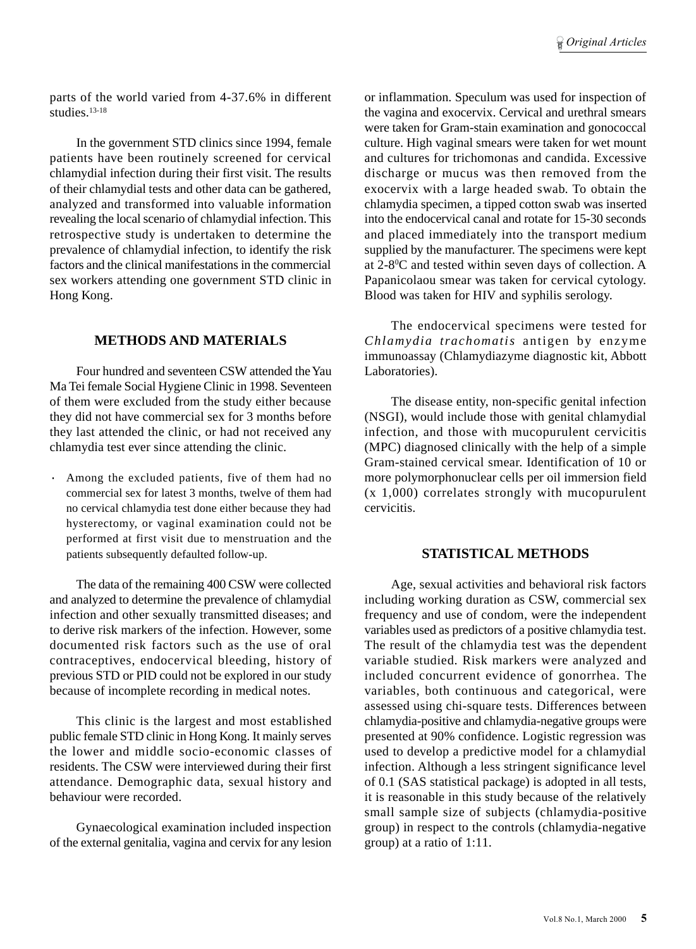parts of the world varied from 4-37.6% in different  $\frac{1}{\text{studies}}$  13-18

In the government STD clinics since 1994, female patients have been routinely screened for cervical chlamydial infection during their first visit. The results of their chlamydial tests and other data can be gathered, analyzed and transformed into valuable information revealing the local scenario of chlamydial infection. This retrospective study is undertaken to determine the prevalence of chlamydial infection, to identify the risk factors and the clinical manifestations in the commercial sex workers attending one government STD clinic in Hong Kong.

# **METHODS AND MATERIALS**

Four hundred and seventeen CSW attended the Yau Ma Tei female Social Hygiene Clinic in 1998. Seventeen of them were excluded from the study either because they did not have commercial sex for 3 months before they last attended the clinic, or had not received any chlamydia test ever since attending the clinic.

Among the excluded patients, five of them had no commercial sex for latest 3 months, twelve of them had no cervical chlamydia test done either because they had hysterectomy, or vaginal examination could not be performed at first visit due to menstruation and the patients subsequently defaulted follow-up.

The data of the remaining 400 CSW were collected and analyzed to determine the prevalence of chlamydial infection and other sexually transmitted diseases; and to derive risk markers of the infection. However, some documented risk factors such as the use of oral contraceptives, endocervical bleeding, history of previous STD or PID could not be explored in our study because of incomplete recording in medical notes.

This clinic is the largest and most established public female STD clinic in Hong Kong. It mainly serves the lower and middle socio-economic classes of residents. The CSW were interviewed during their first attendance. Demographic data, sexual history and behaviour were recorded.

Gynaecological examination included inspection of the external genitalia, vagina and cervix for any lesion or inflammation. Speculum was used for inspection of the vagina and exocervix. Cervical and urethral smears were taken for Gram-stain examination and gonococcal culture. High vaginal smears were taken for wet mount and cultures for trichomonas and candida. Excessive discharge or mucus was then removed from the exocervix with a large headed swab. To obtain the chlamydia specimen, a tipped cotton swab was inserted into the endocervical canal and rotate for 15-30 seconds and placed immediately into the transport medium supplied by the manufacturer. The specimens were kept at 2-8<sup>o</sup>C and tested within seven days of collection. A Papanicolaou smear was taken for cervical cytology. Blood was taken for HIV and syphilis serology.

The endocervical specimens were tested for *Chlamydia trachomatis* antigen by enzyme immunoassay (Chlamydiazyme diagnostic kit, Abbott Laboratories).

The disease entity, non-specific genital infection (NSGI), would include those with genital chlamydial infection, and those with mucopurulent cervicitis (MPC) diagnosed clinically with the help of a simple Gram-stained cervical smear. Identification of 10 or more polymorphonuclear cells per oil immersion field (x 1,000) correlates strongly with mucopurulent cervicitis.

# **STATISTICAL METHODS**

Age, sexual activities and behavioral risk factors including working duration as CSW, commercial sex frequency and use of condom, were the independent variables used as predictors of a positive chlamydia test. The result of the chlamydia test was the dependent variable studied. Risk markers were analyzed and included concurrent evidence of gonorrhea. The variables, both continuous and categorical, were assessed using chi-square tests. Differences between chlamydia-positive and chlamydia-negative groups were presented at 90% confidence. Logistic regression was used to develop a predictive model for a chlamydial infection. Although a less stringent significance level of 0.1 (SAS statistical package) is adopted in all tests, it is reasonable in this study because of the relatively small sample size of subjects (chlamydia-positive group) in respect to the controls (chlamydia-negative group) at a ratio of 1:11.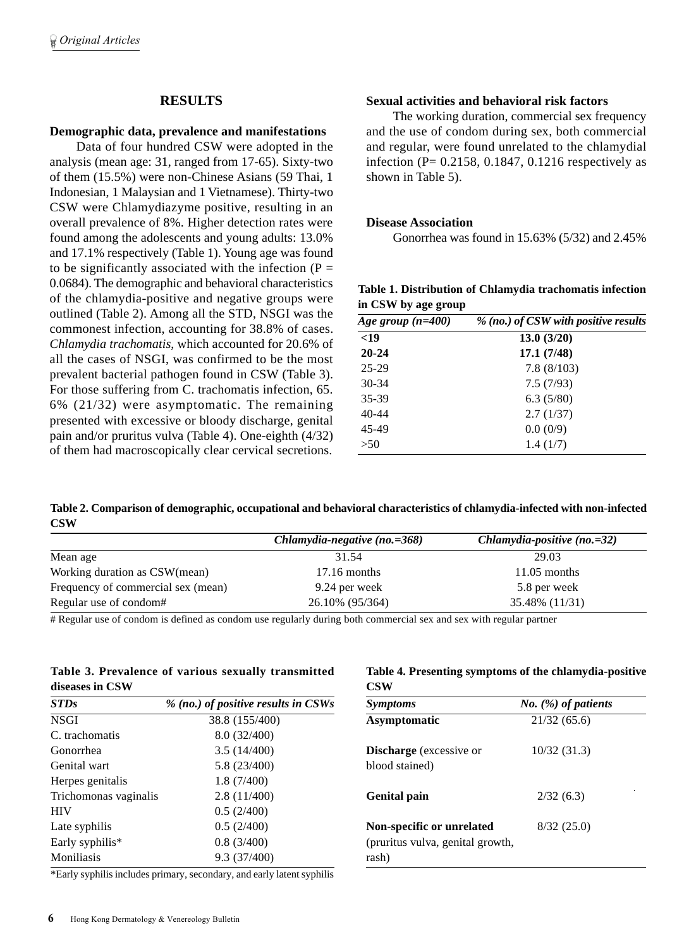## **RESULTS**

## **Demographic data, prevalence and manifestations**

Data of four hundred CSW were adopted in the analysis (mean age: 31, ranged from 17-65). Sixty-two of them (15.5%) were non-Chinese Asians (59 Thai, 1 Indonesian, 1 Malaysian and 1 Vietnamese). Thirty-two CSW were Chlamydiazyme positive, resulting in an overall prevalence of 8%. Higher detection rates were found among the adolescents and young adults: 13.0% and 17.1% respectively (Table 1). Young age was found to be significantly associated with the infection  $(P =$ 0.0684). The demographic and behavioral characteristics of the chlamydia-positive and negative groups were outlined (Table 2). Among all the STD, NSGI was the commonest infection, accounting for 38.8% of cases. *Chlamydia trachomatis*, which accounted for 20.6% of all the cases of NSGI, was confirmed to be the most prevalent bacterial pathogen found in CSW (Table 3). For those suffering from C. trachomatis infection, 65. 6% (21/32) were asymptomatic. The remaining presented with excessive or bloody discharge, genital pain and/or pruritus vulva (Table 4). One-eighth (4/32) of them had macroscopically clear cervical secretions.

#### **Sexual activities and behavioral risk factors**

The working duration, commercial sex frequency and the use of condom during sex, both commercial and regular, were found unrelated to the chlamydial infection (P=  $0.2158$ , 0.1847, 0.1216 respectively as shown in Table 5).

## **Disease Association**

Gonorrhea was found in 15.63% (5/32) and 2.45%

|                     | Table 1. Distribution of Chlamydia trachomatis infection |  |
|---------------------|----------------------------------------------------------|--|
| in CSW by age group |                                                          |  |

| Age group $(n=400)$ | % (no.) of CSW with positive results |  |
|---------------------|--------------------------------------|--|
| $19$                | 13.0(3/20)                           |  |
| $20 - 24$           | 17.1(7/48)                           |  |
| $25-29$             | 7.8(8/103)                           |  |
| $30 - 34$           | 7.5(7/93)                            |  |
| 35-39               | 6.3(5/80)                            |  |
| 40-44               | 2.7(1/37)                            |  |
| 45-49               | 0.0(0/9)                             |  |
| >50                 | 1.4(1/7)                             |  |

**Table 2. Comparison of demographic, occupational and behavioral characteristics of chlamydia-infected with non-infected CSW**

|                                    | Chlamydia-negative $(no.=368)$ | Chlamydia-positive $(no.=32)$ |
|------------------------------------|--------------------------------|-------------------------------|
| Mean age                           | 31.54                          | 29.03                         |
| Working duration as CSW(mean)      | $17.16$ months                 | $11.05$ months                |
| Frequency of commercial sex (mean) | 9.24 per week                  | 5.8 per week                  |
| Regular use of condom#             | 26.10% (95/364)                | 35.48% (11/31)                |

# Regular use of condom is defined as condom use regularly during both commercial sex and sex with regular partner

## **Table 3. Prevalence of various sexually transmitted diseases in CSW**

| <b>STDs</b>                 | % (no.) of positive results in CSWs |
|-----------------------------|-------------------------------------|
| <b>NSGI</b>                 | 38.8 (155/400)                      |
| C. trachomatis              | 8.0(32/400)                         |
| Gonorrhea                   | 3.5(14/400)                         |
| Genital wart                | 5.8(23/400)                         |
| Herpes genitalis            | 1.8(7/400)                          |
| Trichomonas vaginalis       | 2.8(11/400)                         |
| <b>HIV</b>                  | 0.5(2/400)                          |
| Late syphilis               | 0.5(2/400)                          |
| Early syphilis <sup>*</sup> | 0.8(3/400)                          |
| Moniliasis                  | 9.3 (37/400)                        |

\*Early syphilis includes primary, secondary, and early latent syphilis

## **Table 4. Presenting symptoms of the chlamydia-positive CSW**

| <b>Symptoms</b>                                                        | <i>No.</i> $(\%)$ of patients |
|------------------------------------------------------------------------|-------------------------------|
| Asymptomatic                                                           | 21/32(65.6)                   |
| <b>Discharge</b> (excessive or<br>blood stained)                       | 10/32(31.3)                   |
| <b>Genital pain</b>                                                    | 2/32(6.3)                     |
| Non-specific or unrelated<br>(pruritus vulva, genital growth,<br>rash) | 8/32(25.0)                    |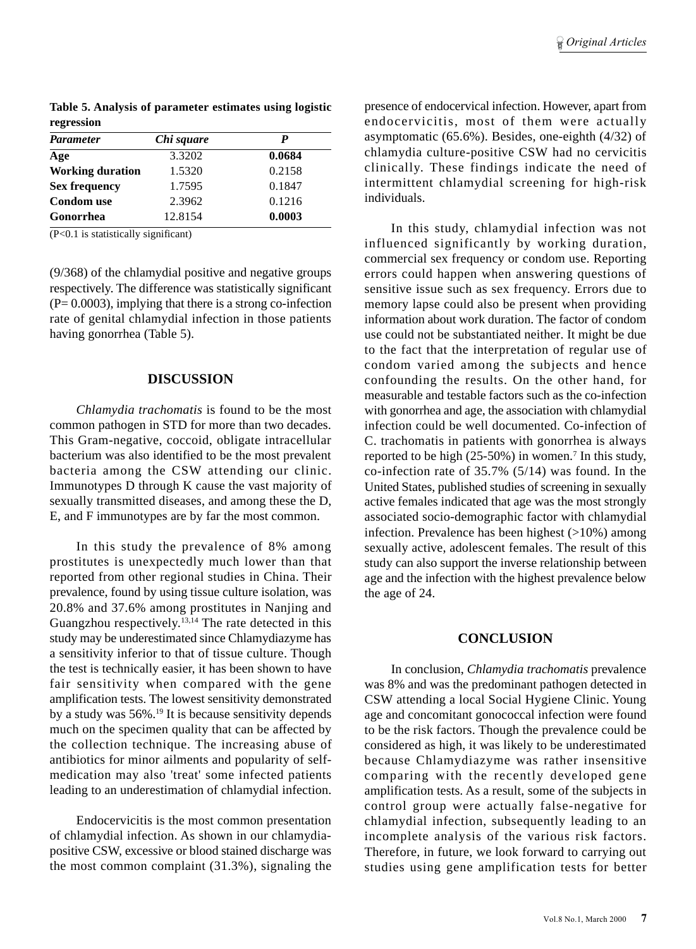**Table 5. Analysis of parameter estimates using logistic regression**

| <b>Parameter</b>        | Chi square | P      |  |
|-------------------------|------------|--------|--|
| Age                     | 3.3202     | 0.0684 |  |
| <b>Working duration</b> | 1.5320     | 0.2158 |  |
| <b>Sex frequency</b>    | 1.7595     | 0.1847 |  |
| <b>Condom</b> use       | 2.3962     | 0.1216 |  |
| Gonorrhea               | 12.8154    | 0.0003 |  |

(P<0.1 is statistically significant)

(9/368) of the chlamydial positive and negative groups respectively. The difference was statistically significant  $(P= 0.0003)$ , implying that there is a strong co-infection rate of genital chlamydial infection in those patients having gonorrhea (Table 5).

## **DISCUSSION**

*Chlamydia trachomatis* is found to be the most common pathogen in STD for more than two decades. This Gram-negative, coccoid, obligate intracellular bacterium was also identified to be the most prevalent bacteria among the CSW attending our clinic. Immunotypes D through K cause the vast majority of sexually transmitted diseases, and among these the D, E, and F immunotypes are by far the most common.

In this study the prevalence of 8% among prostitutes is unexpectedly much lower than that reported from other regional studies in China. Their prevalence, found by using tissue culture isolation, was 20.8% and 37.6% among prostitutes in Nanjing and Guangzhou respectively.<sup>13,14</sup> The rate detected in this study may be underestimated since Chlamydiazyme has a sensitivity inferior to that of tissue culture. Though the test is technically easier, it has been shown to have fair sensitivity when compared with the gene amplification tests. The lowest sensitivity demonstrated by a study was 56%.19 It is because sensitivity depends much on the specimen quality that can be affected by the collection technique. The increasing abuse of antibiotics for minor ailments and popularity of selfmedication may also 'treat' some infected patients leading to an underestimation of chlamydial infection.

Endocervicitis is the most common presentation of chlamydial infection. As shown in our chlamydiapositive CSW, excessive or blood stained discharge was the most common complaint (31.3%), signaling the presence of endocervical infection. However, apart from endocervicitis, most of them were actually asymptomatic (65.6%). Besides, one-eighth (4/32) of chlamydia culture-positive CSW had no cervicitis clinically. These findings indicate the need of intermittent chlamydial screening for high-risk individuals.

In this study, chlamydial infection was not influenced significantly by working duration, commercial sex frequency or condom use. Reporting errors could happen when answering questions of sensitive issue such as sex frequency. Errors due to memory lapse could also be present when providing information about work duration. The factor of condom use could not be substantiated neither. It might be due to the fact that the interpretation of regular use of condom varied among the subjects and hence confounding the results. On the other hand, for measurable and testable factors such as the co-infection with gonorrhea and age, the association with chlamydial infection could be well documented. Co-infection of C. trachomatis in patients with gonorrhea is always reported to be high  $(25-50%)$  in women.<sup>7</sup> In this study, co-infection rate of 35.7% (5/14) was found. In the United States, published studies of screening in sexually active females indicated that age was the most strongly associated socio-demographic factor with chlamydial infection. Prevalence has been highest  $(>10\%)$  among sexually active, adolescent females. The result of this study can also support the inverse relationship between age and the infection with the highest prevalence below the age of 24.

## **CONCLUSION**

In conclusion, *Chlamydia trachomatis* prevalence was 8% and was the predominant pathogen detected in CSW attending a local Social Hygiene Clinic. Young age and concomitant gonococcal infection were found to be the risk factors. Though the prevalence could be considered as high, it was likely to be underestimated because Chlamydiazyme was rather insensitive comparing with the recently developed gene amplification tests. As a result, some of the subjects in control group were actually false-negative for chlamydial infection, subsequently leading to an incomplete analysis of the various risk factors. Therefore, in future, we look forward to carrying out studies using gene amplification tests for better